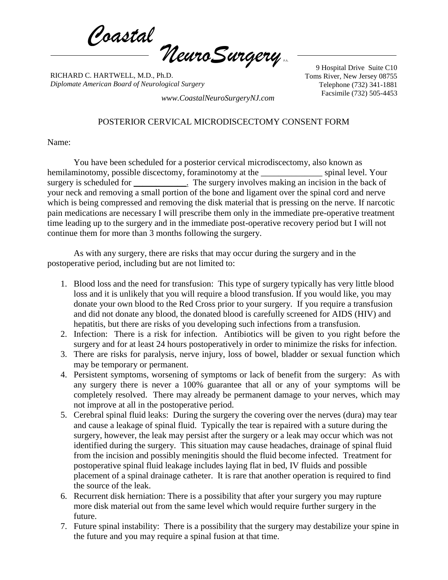*Coastal NeuroSurgery* P.A.

RICHARD C. HARTWELL, M.D., Ph.D. *Diplomate American Board of Neurological Surgery*

9 Hospital Drive Suite C10 Toms River, New Jersey 08755 Telephone (732) 341-1881

Facsimile (732) 505-4453 *www.CoastalNeuroSurgeryNJ.com*

## POSTERIOR CERVICAL MICRODISCECTOMY CONSENT FORM

Name:

You have been scheduled for a posterior cervical microdiscectomy, also known as hemilaminotomy, possible discectomy, foraminotomy at the spinal level. Your surgery is scheduled for \_\_\_\_\_\_\_\_\_\_\_\_. The surgery involves making an incision in the back of your neck and removing a small portion of the bone and ligament over the spinal cord and nerve which is being compressed and removing the disk material that is pressing on the nerve. If narcotic pain medications are necessary I will prescribe them only in the immediate pre-operative treatment time leading up to the surgery and in the immediate post-operative recovery period but I will not continue them for more than 3 months following the surgery.

As with any surgery, there are risks that may occur during the surgery and in the postoperative period, including but are not limited to:

- 1. Blood loss and the need for transfusion: This type of surgery typically has very little blood loss and it is unlikely that you will require a blood transfusion. If you would like, you may donate your own blood to the Red Cross prior to your surgery. If you require a transfusion and did not donate any blood, the donated blood is carefully screened for AIDS (HIV) and hepatitis, but there are risks of you developing such infections from a transfusion.
- 2. Infection: There is a risk for infection. Antibiotics will be given to you right before the surgery and for at least 24 hours postoperatively in order to minimize the risks for infection.
- 3. There are risks for paralysis, nerve injury, loss of bowel, bladder or sexual function which may be temporary or permanent.
- 4. Persistent symptoms, worsening of symptoms or lack of benefit from the surgery: As with any surgery there is never a 100% guarantee that all or any of your symptoms will be completely resolved. There may already be permanent damage to your nerves, which may not improve at all in the postoperative period.
- 5. Cerebral spinal fluid leaks: During the surgery the covering over the nerves (dura) may tear and cause a leakage of spinal fluid. Typically the tear is repaired with a suture during the surgery, however, the leak may persist after the surgery or a leak may occur which was not identified during the surgery. This situation may cause headaches, drainage of spinal fluid from the incision and possibly meningitis should the fluid become infected. Treatment for postoperative spinal fluid leakage includes laying flat in bed, IV fluids and possible placement of a spinal drainage catheter. It is rare that another operation is required to find the source of the leak.
- 6. Recurrent disk herniation: There is a possibility that after your surgery you may rupture more disk material out from the same level which would require further surgery in the future.
- 7. Future spinal instability: There is a possibility that the surgery may destabilize your spine in the future and you may require a spinal fusion at that time.